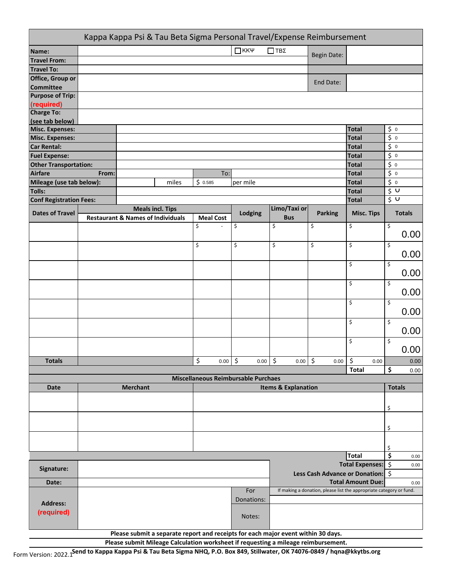|                                | Kappa Kappa Psi & Tau Beta Sigma Personal Travel/Expense Reimbursement |                                                                                   |       |         |                  |    |                  |                    |                                |                                                                     |                          |           |               |
|--------------------------------|------------------------------------------------------------------------|-----------------------------------------------------------------------------------|-------|---------|------------------|----|------------------|--------------------|--------------------------------|---------------------------------------------------------------------|--------------------------|-----------|---------------|
| Name:                          |                                                                        |                                                                                   |       |         |                  |    | $\Box$ KK $\Psi$ | $\Box$ TB $\Sigma$ |                                |                                                                     |                          |           |               |
| <b>Travel From:</b>            |                                                                        |                                                                                   |       |         |                  |    |                  |                    |                                | <b>Begin Date:</b>                                                  |                          |           |               |
| <b>Travel To:</b>              |                                                                        |                                                                                   |       |         |                  |    |                  |                    |                                |                                                                     |                          |           |               |
| Office, Group or               |                                                                        |                                                                                   |       |         |                  |    |                  |                    |                                |                                                                     |                          |           |               |
| <b>Committee</b>               |                                                                        |                                                                                   |       |         |                  |    |                  |                    |                                | End Date:                                                           |                          |           |               |
| <b>Purpose of Trip:</b>        |                                                                        |                                                                                   |       |         |                  |    |                  |                    |                                |                                                                     |                          |           |               |
| (required)                     |                                                                        |                                                                                   |       |         |                  |    |                  |                    |                                |                                                                     |                          |           |               |
| <b>Charge To:</b>              |                                                                        |                                                                                   |       |         |                  |    |                  |                    |                                |                                                                     |                          |           |               |
| (see tab below)                |                                                                        |                                                                                   |       |         |                  |    |                  |                    |                                |                                                                     |                          |           |               |
| <b>Misc. Expenses:</b>         |                                                                        |                                                                                   |       |         |                  |    |                  |                    |                                |                                                                     | <b>Total</b>             | $\zeta_0$ |               |
| <b>Misc. Expenses:</b>         |                                                                        |                                                                                   |       |         |                  |    |                  |                    |                                |                                                                     | <b>Total</b>             | $\zeta_0$ |               |
| <b>Car Rental:</b>             |                                                                        |                                                                                   |       |         |                  |    |                  |                    |                                |                                                                     | <b>Total</b>             | $\zeta$ 0 |               |
| <b>Fuel Expense:</b>           |                                                                        |                                                                                   |       |         |                  |    |                  |                    |                                |                                                                     | <b>Total</b>             | $\zeta$ 0 |               |
| <b>Other Transportation:</b>   |                                                                        |                                                                                   |       |         |                  |    |                  |                    |                                |                                                                     | <b>Total</b>             | $\zeta$ 0 |               |
| <b>Airfare</b>                 | From:                                                                  |                                                                                   |       |         | To:              |    |                  |                    |                                |                                                                     | <b>Total</b>             | $\zeta$ 0 |               |
| Mileage (use tab below):       |                                                                        |                                                                                   | miles | \$0.585 |                  |    | per mile         |                    |                                |                                                                     | <b>Total</b>             | $\zeta_0$ |               |
| <b>Tolls:</b>                  |                                                                        |                                                                                   |       |         |                  |    |                  |                    |                                |                                                                     | <b>Total</b>             | \$U       |               |
| <b>Conf Registration Fees:</b> |                                                                        |                                                                                   |       |         |                  |    |                  |                    |                                |                                                                     | <b>Total</b>             | \$V       |               |
| <b>Dates of Travel</b>         |                                                                        | <b>Meals incl. Tips</b>                                                           |       |         |                  |    | Lodging          |                    | Limo/Taxi or                   | <b>Parking</b>                                                      | <b>Misc. Tips</b>        |           | <b>Totals</b> |
|                                |                                                                        | <b>Restaurant &amp; Names of Individuals</b>                                      |       |         | <b>Meal Cost</b> |    |                  |                    | <b>Bus</b>                     |                                                                     |                          |           |               |
|                                |                                                                        |                                                                                   |       | \$      |                  | \$ |                  | \$                 |                                | \$                                                                  | \$                       | \$        |               |
|                                |                                                                        |                                                                                   |       |         |                  |    |                  |                    |                                |                                                                     |                          |           | 0.00          |
|                                |                                                                        |                                                                                   |       | \$      |                  | \$ |                  | $\mathsf{\dot{S}}$ |                                | \$                                                                  | \$                       | \$        |               |
|                                |                                                                        |                                                                                   |       |         |                  |    |                  |                    |                                |                                                                     |                          |           | 0.00          |
|                                |                                                                        |                                                                                   |       |         |                  |    |                  |                    |                                |                                                                     | \$                       | \$        |               |
|                                |                                                                        |                                                                                   |       |         |                  |    |                  |                    |                                |                                                                     |                          |           | 0.00          |
|                                |                                                                        |                                                                                   |       |         |                  |    |                  |                    |                                |                                                                     | \$                       | \$        |               |
|                                |                                                                        |                                                                                   |       |         |                  |    |                  |                    |                                |                                                                     |                          |           | 0.00          |
|                                |                                                                        |                                                                                   |       |         |                  |    |                  |                    |                                |                                                                     | \$                       | \$        |               |
|                                |                                                                        |                                                                                   |       |         |                  |    |                  |                    |                                |                                                                     |                          |           | 0.00          |
|                                |                                                                        |                                                                                   |       |         |                  |    |                  |                    |                                |                                                                     | \$                       | \$        |               |
|                                |                                                                        |                                                                                   |       |         |                  |    |                  |                    |                                |                                                                     |                          |           | 0.00          |
|                                |                                                                        |                                                                                   |       |         |                  |    |                  |                    |                                |                                                                     |                          |           |               |
|                                |                                                                        |                                                                                   |       |         |                  |    |                  |                    |                                |                                                                     | \$                       | \$        |               |
|                                |                                                                        |                                                                                   |       |         |                  |    |                  |                    |                                |                                                                     |                          |           | 0.00          |
| <b>Totals</b>                  |                                                                        |                                                                                   |       | \$      | $0.00$ \$        |    | $0.00$ \$        |                    | 0.00                           | $\boldsymbol{\dot{\varsigma}}$<br>0.00                              | \$<br>0.00               |           | $0.00\,$      |
|                                |                                                                        |                                                                                   |       |         |                  |    |                  |                    |                                |                                                                     | <b>Total</b>             | \$        | 0.00          |
|                                | Miscellaneous Reimbursable Purchaes                                    |                                                                                   |       |         |                  |    |                  |                    |                                |                                                                     |                          |           |               |
| Date                           |                                                                        | <b>Merchant</b>                                                                   |       |         |                  |    |                  |                    | <b>Items &amp; Explanation</b> |                                                                     |                          |           | <b>Totals</b> |
|                                |                                                                        |                                                                                   |       |         |                  |    |                  |                    |                                |                                                                     |                          |           |               |
|                                |                                                                        |                                                                                   |       |         |                  |    |                  |                    |                                |                                                                     |                          | \$        |               |
|                                |                                                                        |                                                                                   |       |         |                  |    |                  |                    |                                |                                                                     |                          |           |               |
|                                |                                                                        |                                                                                   |       |         |                  |    |                  | \$                 |                                |                                                                     |                          |           |               |
|                                |                                                                        |                                                                                   |       |         |                  |    |                  |                    |                                |                                                                     |                          |           |               |
|                                |                                                                        |                                                                                   |       |         |                  |    |                  |                    |                                |                                                                     |                          |           |               |
|                                |                                                                        |                                                                                   |       |         |                  |    |                  |                    |                                |                                                                     | <b>Total</b>             | \$<br>\$  | 0.00          |
|                                |                                                                        |                                                                                   |       |         |                  |    |                  |                    |                                |                                                                     | Total Expenses: \$       |           | 0.00          |
| Signature:                     |                                                                        |                                                                                   |       |         |                  |    |                  |                    |                                | Less Cash Advance or Donation: \$                                   |                          |           |               |
| Date:                          |                                                                        |                                                                                   |       |         |                  |    |                  |                    |                                |                                                                     | <b>Total Amount Due:</b> |           | 0.00          |
|                                |                                                                        |                                                                                   |       |         |                  |    | For              |                    |                                | If making a donation, please list the appropriate category or fund. |                          |           |               |
|                                |                                                                        |                                                                                   |       |         |                  |    | Donations:       |                    |                                |                                                                     |                          |           |               |
| <b>Address:</b>                |                                                                        |                                                                                   |       |         |                  |    |                  |                    |                                |                                                                     |                          |           |               |
| (required)                     |                                                                        |                                                                                   |       |         |                  |    | Notes:           |                    |                                |                                                                     |                          |           |               |
|                                |                                                                        |                                                                                   |       |         |                  |    |                  |                    |                                |                                                                     |                          |           |               |
|                                |                                                                        | Please submit a separate report and receipts for each major event within 30 days. |       |         |                  |    |                  |                    |                                |                                                                     |                          |           |               |

**Please submit Mileage Calculation worksheet if requesting a mileage reimbursement.**